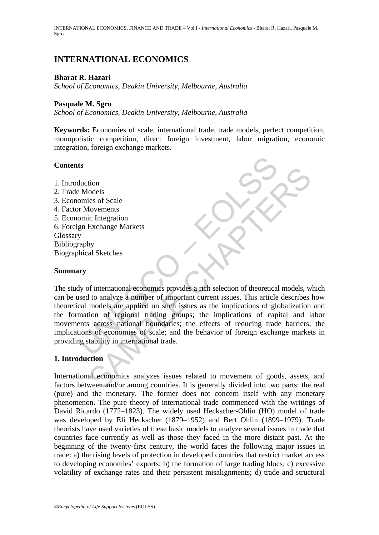INTERNATIONAL ECONOMICS, FINANCE AND TRADE – Vol.I - *International Economics* - Bharat R. Hazari, Pasquale M. Sgro

# **INTERNATIONAL ECONOMICS**

#### **Bharat R. Hazari**

*School of Economics, Deakin University, Melbourne, Australia* 

#### **Pasquale M. Sgro**

*School of Economics, Deakin University, Melbourne, Australia* 

**Keywords:** Economies of scale, international trade, trade models, perfect competition, monopolistic competition, direct foreign investment, labor migration, economic integration, foreign exchange markets.

#### **Contents**

- 1. Introduction
- 2. Trade Models
- 3. Economies of Scale
- 4. Factor Movements
- 5. Economic Integration
- 6. Foreign Exchange Markets Glossary Bibliography
- Biographical Sketches

### **Summary**

ts<br>
ts<br>
aluction<br>
De Models<br>
omies of Scale<br>
omies of Scale<br>
omies In Exchange Markets<br>
y<br>
y<br>
araphy<br>
whical Sketches<br>
y<br>
y<br>
y of international economies provides a rich selection of theoretical<br>
sued to analyze a number o Transformal conditions<br>
is is of Scale<br>
its of Scale<br>
its of Scale<br>
its of the integration<br>
by<br>
al Sketches<br>
by<br>
al Sketches<br>
to analyze a number of important current issues. This article describes<br>
models are applied on s The study of international economics provides a rich selection of theoretical models, which can be used to analyze a number of important current issues. This article describes how theoretical models are applied on such issues as the implications of globalization and the formation of regional trading groups; the implications of capital and labor movements across national boundaries; the effects of reducing trade barriers; the implications of economies of scale; and the behavior of foreign exchange markets in providing stability in international trade.

## **1. Introduction**

International economics analyzes issues related to movement of goods, assets, and factors between and/or among countries. It is generally divided into two parts: the real (pure) and the monetary. The former does not concern itself with any monetary phenomenon. The pure theory of international trade commenced with the writings of David Ricardo (1772–1823). The widely used Heckscher-Ohlin (HO) model of trade was developed by Eli Heckscher (1879–1952) and Bert Ohlin (1899–1979). Trade theorists have used varieties of these basic models to analyze several issues in trade that countries face currently as well as those they faced in the more distant past. At the beginning of the twenty-first century, the world faces the following major issues in trade: a) the rising levels of protection in developed countries that restrict market access to developing economies' exports; b) the formation of large trading blocs; c) excessive volatility of exchange rates and their persistent misalignments; d) trade and structural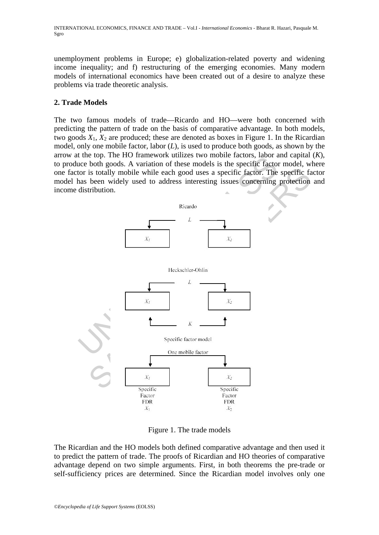unemployment problems in Europe; e) globalization-related poverty and widening income inequality; and f) restructuring of the emerging economies. Many modern models of international economics have been created out of a desire to analyze these problems via trade theoretic analysis.

# **2. Trade Models**

The two famous models of trade—Ricardo and HO—were both concerned with predicting the pattern of trade on the basis of comparative advantage. In both models, two goods  $X_1$ ,  $X_2$  are produced; these are denoted as boxes in Figure 1. In the Ricardian model, only one mobile factor, labor (*L*), is used to produce both goods, as shown by the arrow at the top. The HO framework utilizes two mobile factors, labor and capital (*K*), to produce both goods. A variation of these models is the specific factor model, where one factor is totally mobile while each good uses a specific factor. The specific factor model has been widely used to address interesting issues concerning protection and income distribution.



Figure 1. The trade models

The Ricardian and the HO models both defined comparative advantage and then used it to predict the pattern of trade. The proofs of Ricardian and HO theories of comparative advantage depend on two simple arguments. First, in both theorems the pre-trade or self-sufficiency prices are determined. Since the Ricardian model involves only one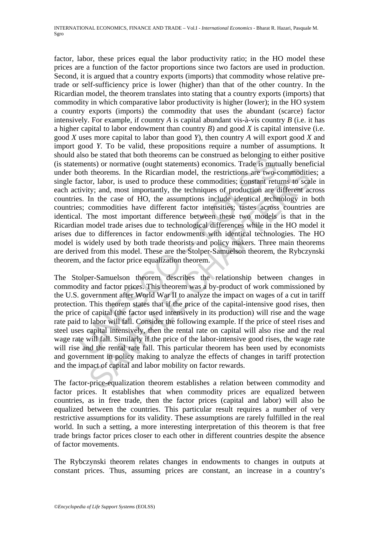also be stated unat out incluents can be construent as belonging to<br>ments) or normative (ought statements) economics. Trade is mutual<br>actor, labor, is used to produce these commodities; constant rett<br>tivity; and, most impo theorems. In the Ricardian model, the restrictions are two-commodition, theorems. In the Ricardian model, the restrictions are two-commodition; continued by ; and, most importantly, the techniques of production are differe factor, labor, these prices equal the labor productivity ratio; in the HO model these prices are a function of the factor proportions since two factors are used in production. Second, it is argued that a country exports (imports) that commodity whose relative pretrade or self-sufficiency price is lower (higher) than that of the other country. In the Ricardian model, the theorem translates into stating that a country exports (imports) that commodity in which comparative labor productivity is higher (lower); in the HO system a country exports (imports) the commodity that uses the abundant (scarce) factor intensively. For example, if country *A* is capital abundant vis-à-vis country *B* (i.e. it has a higher capital to labor endowment than country *B*) and good *X* is capital intensive (i.e. good *X* uses more capital to labor than good *Y*), then country *A* will export good *X* and import good *Y.* To be valid, these propositions require a number of assumptions. It should also be stated that both theorems can be construed as belonging to either positive (is statements) or normative (ought statements) economics. Trade is mutually beneficial under both theorems. In the Ricardian model, the restrictions are two-commodities; a single factor, labor, is used to produce these commodities; constant returns to scale in each activity; and, most importantly, the techniques of production are different across countries. In the case of HO, the assumptions include identical technology in both countries; commodities have different factor intensities; tastes across countries are identical. The most important difference between these two models is that in the Ricardian model trade arises due to technological differences while in the HO model it arises due to differences in factor endowments with identical technologies. The HO model is widely used by both trade theorists and policy makers. Three main theorems are derived from this model. These are the Stolper-Samuelson theorem, the Rybczynski theorem, and the factor price equalization theorem.

The Stolper-Samuelson theorem describes the relationship between changes in commodity and factor prices. This theorem was a by-product of work commissioned by the U.S. government after World War II to analyze the impact on wages of a cut in tariff protection. This theorem states that if the price of the capital-intensive good rises, then the price of capital (the factor used intensively in its production) will rise and the wage rate paid to labor will fall. Consider the following example. If the price of steel rises and steel uses capital intensively, then the rental rate on capital will also rise and the real wage rate will fall. Similarly if the price of the labor-intensive good rises, the wage rate will rise and the rental rate fall. This particular theorem has been used by economists and government in policy making to analyze the effects of changes in tariff protection and the impact of capital and labor mobility on factor rewards.

The factor-price-equalization theorem establishes a relation between commodity and factor prices. It establishes that when commodity prices are equalized between countries, as in free trade, then the factor prices (capital and labor) will also be equalized between the countries. This particular result requires a number of very restrictive assumptions for its validity. These assumptions are rarely fulfilled in the real world. In such a setting, a more interesting interpretation of this theorem is that free trade brings factor prices closer to each other in different countries despite the absence of factor movements.

The Rybczynski theorem relates changes in endowments to changes in outputs at constant prices. Thus, assuming prices are constant, an increase in a country's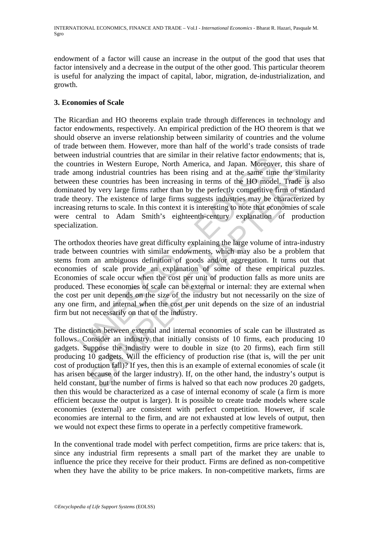endowment of a factor will cause an increase in the output of the good that uses that factor intensively and a decrease in the output of the other good. This particular theorem is useful for analyzing the impact of capital, labor, migration, de-industrialization, and growth.

# **3. Economies of Scale**

The Ricardian and HO theorems explain trade through differences in technology and factor endowments, respectively. An empirical prediction of the HO theorem is that we should observe an inverse relationship between similarity of countries and the volume of trade between them. However, more than half of the world's trade consists of trade between industrial countries that are similar in their relative factor endowments; that is, the countries in Western Europe, North America, and Japan. Moreover, this share of trade among industrial countries has been rising and at the same time the similarity between these countries has been increasing in terms of the HO model. Trade is also dominated by very large firms rather than by the perfectly competitive firm of standard trade theory. The existence of large firms suggests industries may be characterized by increasing returns to scale. In this context it is interesting to note that economies of scale were central to Adam Smith's eighteenth-century explanation of production specialization.

n musulmar outuries that are similar in their telature actor encoveration<br>in this in Western Europe, North America, and Japan. Moreover<br>nong industrial countries has been increasing in terms of the HO model<br>ted by very lar ing industrial countries has been rising and at the same time the similar<br>see countries has been increasing in terms of the HO model. Trade is<br>by very large firms rather than by the perfectly competitive firm of stan-<br>y. T The orthodox theories have great difficulty explaining the large volume of intra-industry trade between countries with similar endowments, which may also be a problem that stems from an ambiguous definition of goods and/or aggregation. It turns out that economies of scale provide an explanation of some of these empirical puzzles. Economies of scale occur when the cost per unit of production falls as more units are produced. These economies of scale can be external or internal: they are external when the cost per unit depends on the size of the industry but not necessarily on the size of any one firm, and internal when the cost per unit depends on the size of an industrial firm but not necessarily on that of the industry.

The distinction between external and internal economies of scale can be illustrated as follows. Consider an industry that initially consists of 10 firms, each producing 10 gadgets. Suppose the industry were to double in size (to 20 firms), each firm still producing 10 gadgets. Will the efficiency of production rise (that is, will the per unit cost of production fall)? If yes, then this is an example of external economies of scale (it has arisen because of the larger industry). If, on the other hand, the industry's output is held constant, but the number of firms is halved so that each now produces 20 gadgets, then this would be characterized as a case of internal economy of scale (a firm is more efficient because the output is larger). It is possible to create trade models where scale economies (external) are consistent with perfect competition. However, if scale economies are internal to the firm, and are not exhausted at low levels of output, then we would not expect these firms to operate in a perfectly competitive framework.

In the conventional trade model with perfect competition, firms are price takers: that is, since any industrial firm represents a small part of the market they are unable to influence the price they receive for their product. Firms are defined as non-competitive when they have the ability to be price makers. In non-competitive markets, firms are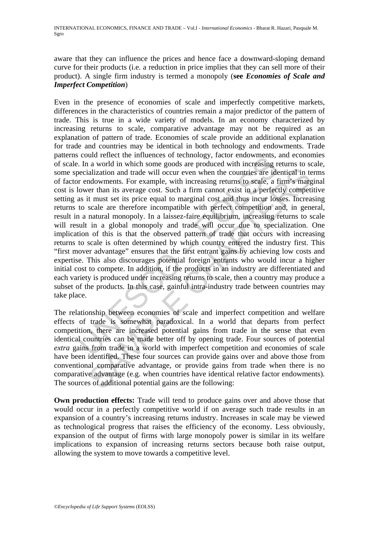aware that they can influence the prices and hence face a downward-sloping demand curve for their products (i.e. a reduction in price implies that they can sell more of their product). A single firm industry is termed a monopoly (**see** *Economies of Scale and Imperfect Competition*)

Counter the infiniences of recultionary and the set of the set of the set of the set of the set of the set of the set of the set of the set of the set of the set of the set of the set of the set of the set of the set of th alization and trade will occur even when the countries are identical in televants. For example, with increasing returns to scale, a firm's marger or than its avevage cost. Such a firm cannot exist in a perfectly competit m Even in the presence of economies of scale and imperfectly competitive markets, differences in the characteristics of countries remain a major predictor of the pattern of trade. This is true in a wide variety of models. In an economy characterized by increasing returns to scale, comparative advantage may not be required as an explanation of pattern of trade. Economies of scale provide an additional explanation for trade and countries may be identical in both technology and endowments. Trade patterns could reflect the influences of technology, factor endowments, and economies of scale. In a world in which some goods are produced with increasing returns to scale, some specialization and trade will occur even when the countries are identical in terms of factor endowments. For example, with increasing returns to scale, a firm's marginal cost is lower than its average cost. Such a firm cannot exist in a perfectly competitive setting as it must set its price equal to marginal cost and thus incur losses. Increasing returns to scale are therefore incompatible with perfect competition and, in general, result in a natural monopoly. In a laissez-faire equilibrium, increasing returns to scale will result in a global monopoly and trade will occur due to specialization. One implication of this is that the observed pattern of trade that occurs with increasing returns to scale is often determined by which country entered the industry first. This "first mover advantage" ensures that the first entrant gains by achieving low costs and expertise. This also discourages potential foreign entrants who would incur a higher initial cost to compete. In addition, if the products in an industry are differentiated and each variety is produced under increasing returns to scale, then a country may produce a subset of the products. In this case, gainful intra-industry trade between countries may take place.

The relationship between economies of scale and imperfect competition and welfare effects of trade is somewhat paradoxical. In a world that departs from perfect competition, there are increased potential gains from trade in the sense that even identical countries can be made better off by opening trade. Four sources of potential *extra* gains from trade in a world with imperfect competition and economies of scale have been identified. These four sources can provide gains over and above those from conventional comparative advantage, or provide gains from trade when there is no comparative advantage (e.g. when countries have identical relative factor endowments). The sources of additional potential gains are the following:

**Own production effects:** Trade will tend to produce gains over and above those that would occur in a perfectly competitive world if on average such trade results in an expansion of a country's increasing returns industry. Increases in scale may be viewed as technological progress that raises the efficiency of the economy. Less obviously, expansion of the output of firms with large monopoly power is similar in its welfare implications to expansion of increasing returns sectors because both raise output, allowing the system to move towards a competitive level.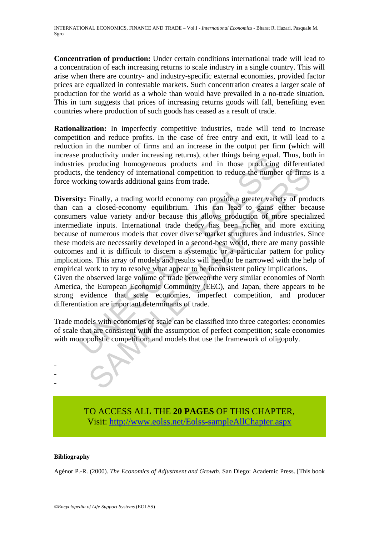**Concentration of production:** Under certain conditions international trade will lead to a concentration of each increasing returns to scale industry in a single country. This will arise when there are country- and industry-specific external economies, provided factor prices are equalized in contestable markets. Such concentration creates a larger scale of production for the world as a whole than would have prevailed in a no-trade situation. This in turn suggests that prices of increasing returns goods will fall, benefiting even countries where production of such goods has ceased as a result of trade.

**Rationalization:** In imperfectly competitive industries, trade will tend to increase competition and reduce profits. In the case of free entry and exit, it will lead to a reduction in the number of firms and an increase in the output per firm (which will increase productivity under increasing returns), other things being equal. Thus, both in industries producing homogeneous products and in those producing differentiated products, the tendency of international competition to reduce the number of firms is a force working towards additional gains from trade.

productivity unter increasing returns), ourer unings being equal<br>es productivity unter increasing returns), one in those producing<br>s, the tendency of international competition to reduce the number<br>orking towards additional From the tendency of international competition to reduce the number of firms<br>ing towards additional gains from trade.<br>Finally, a trading world economy can provide a greater variety of prod<br>a closed-economy equilibrium. Thi **Diversity:** Finally, a trading world economy can provide a greater variety of products than can a closed-economy equilibrium. This can lead to gains either because consumers value variety and/or because this allows production of more specialized intermediate inputs. International trade theory has been richer and more exciting because of numerous models that cover diverse market structures and industries. Since these models are necessarily developed in a second-best world, there are many possible outcomes and it is difficult to discern a systematic or a particular pattern for policy implications. This array of models and results will need to be narrowed with the help of empirical work to try to resolve what appear to be inconsistent policy implications.

Given the observed large volume of trade between the very similar economies of North America, the European Economic Community (EEC), and Japan, there appears to be strong evidence that scale economies, imperfect competition, and producer differentiation are important determinants of trade.

Trade models with economies of scale can be classified into three categories: economies of scale that are consistent with the assumption of perfect competition; scale economies with monopolistic competition; and models that use the framework of oligopoly.

> TO ACCESS ALL THE **20 PAGES** OF THIS CHAPTER, Visit: [http://www.eolss.net/Eolss-sampleAllChapter.aspx](https://www.eolss.net/ebooklib/sc_cart.aspx?File=E1-23-01)

#### **Bibliography**

- - -

Agénor P.-R. (2000). *The Economics of Adjustment and Growth*. San Diego: Academic Press. [This book